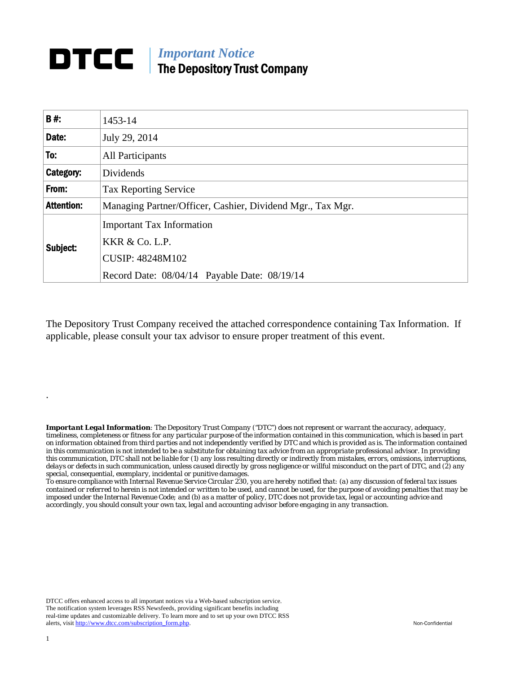## *Important Notice*  The Depository Trust Company

| <b>B#:</b>        | 1453-14                                                       |  |  |
|-------------------|---------------------------------------------------------------|--|--|
| Date:             | July 29, 2014                                                 |  |  |
| To:               | All Participants                                              |  |  |
| Category:         | Dividends                                                     |  |  |
| From:             | <b>Tax Reporting Service</b>                                  |  |  |
| <b>Attention:</b> | Managing Partner/Officer, Cashier, Dividend Mgr., Tax Mgr.    |  |  |
| Subject:          | <b>Important Tax Information</b><br><b>KKR &amp; Co. L.P.</b> |  |  |
|                   | <b>CUSIP: 48248M102</b>                                       |  |  |
|                   | Record Date: 08/04/14 Payable Date: 08/19/14                  |  |  |

The Depository Trust Company received the attached correspondence containing Tax Information. If applicable, please consult your tax advisor to ensure proper treatment of this event.

*Important Legal Information: The Depository Trust Company ("DTC") does not represent or warrant the accuracy, adequacy, timeliness, completeness or fitness for any particular purpose of the information contained in this communication, which is based in part on information obtained from third parties and not independently verified by DTC and which is provided as is. The information contained in this communication is not intended to be a substitute for obtaining tax advice from an appropriate professional advisor. In providing this communication, DTC shall not be liable for (1) any loss resulting directly or indirectly from mistakes, errors, omissions, interruptions, delays or defects in such communication, unless caused directly by gross negligence or willful misconduct on the part of DTC, and (2) any special, consequential, exemplary, incidental or punitive damages.* 

*To ensure compliance with Internal Revenue Service Circular 230, you are hereby notified that: (a) any discussion of federal tax issues contained or referred to herein is not intended or written to be used, and cannot be used, for the purpose of avoiding penalties that may be imposed under the Internal Revenue Code; and (b) as a matter of policy, DTC does not provide tax, legal or accounting advice and accordingly, you should consult your own tax, legal and accounting advisor before engaging in any transaction.*

DTCC offers enhanced access to all important notices via a Web-based subscription service. The notification system leverages RSS Newsfeeds, providing significant benefits including real-time updates and customizable delivery. To learn more and to set up your own DTCC RSS alerts, visit http://www.dtcc.com/subscription\_form.php. Non-Confidential

.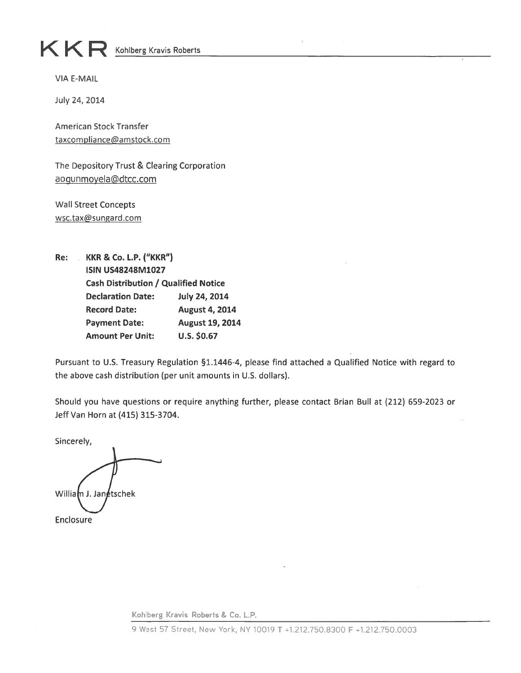## $K$   $R$  Kohlberg Kravis Roberts

**VIA E-MAIL** 

July 24, 2014

American Stock Transfer taxcompliance@amstock.com

The Depository Trust & Clearing Corporation aoqunmoyela@dtcc.com

**Wall Street Concepts** wsc.tax@sungard.com

Re: **KKR & Co. L.P. ("KKR") ISIN US48248M1027 Cash Distribution / Qualified Notice Declaration Date: July 24, 2014 Record Date: August 4, 2014 Payment Date:** August 19, 2014 **Amount Per Unit:**  $U.S. $0.67$ 

Pursuant to U.S. Treasury Regulation §1.1446-4, please find attached a Qualified Notice with regard to the above cash distribution (per unit amounts in U.S. dollars).

Should you have questions or require anything further, please contact Brian Bull at (212) 659-2023 or Jeff Van Horn at (415) 315-3704.

Sincerely,

William J. Janetschek Enclosure

Kohlberg Kravis Roberts & Co. L.P.